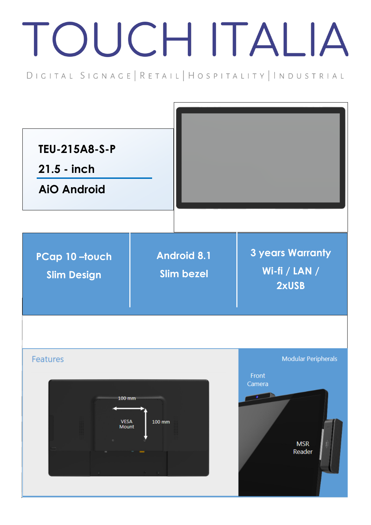## TOUCH ITALIA

DIGITAL SIGNAGE | RETAIL | HOSPITALITY | INDUSTRIAL